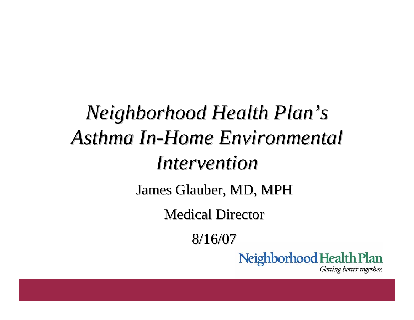#### *Neighborhood Health Plan Neighborhood Health Plan 's*  **Asthma In-Home Environmental** *Intervention Intervention* James Glauber, MD, MPH **Medical Director** 8/16/07 Neighborhood Health Plan Getting better together.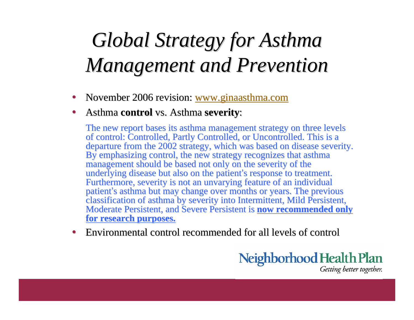### *Global Strategy for Asthma Global Strategy for Asthma Management and Prevention Management and Prevention*

- $\bullet$ November 2006 revision: www.ginaasthma.com
- $\bullet$ **•** Asthma **control** vs. Asthma **severity**:

The new report bases its asthma management strategy on three levels of control: Controlled, Partly Controlled, or Uncontrolled. This is a departure from the 2002 strategy, which was based on disease severity. By emphasizing control, the new strategy recognizes that asthma management should be based not only on the severity of the underlying disease but also on the patient's response to treatment. Furthermore, severity is not an unvarying feature of an individual patient's asthma but may change over months or years. The previous classification of asthma by severity into Intermittent, Mild Persistent, Moderate Persistent, and Severe Persistent is **now recommended only for research purposes. for research purposes.**

 $\bullet$ • Environmental control recommended for all levels of control

> Neighborhood Health Plan Getting better together.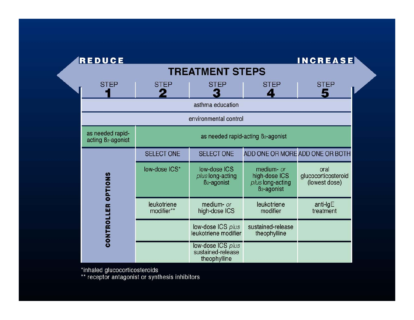| <b>REDUCE</b>                                      |                                                |                                                             |                                                                            | <b>INCREASE</b>                              |
|----------------------------------------------------|------------------------------------------------|-------------------------------------------------------------|----------------------------------------------------------------------------|----------------------------------------------|
| <b>TREATMENT STEPS</b>                             |                                                |                                                             |                                                                            |                                              |
| <b>STEP</b>                                        | <b>STEP</b><br>2                               | <b>STEP</b>                                                 | <b>STEP</b><br>$\ddot{\phantom{a}}$                                        | <b>STEP</b><br>5                             |
| asthma education                                   |                                                |                                                             |                                                                            |                                              |
| environmental control                              |                                                |                                                             |                                                                            |                                              |
| as needed rapid-<br>acting B <sub>2</sub> -agonist | as needed rapid-acting B <sub>2</sub> -agonist |                                                             |                                                                            |                                              |
| OPTIONS<br><b>CONTROLLER</b>                       | <b>SELECT ONE</b>                              | <b>SELECT ONE</b>                                           |                                                                            | ADD ONE OR MORE ADD ONE OR BOTH              |
|                                                    | low-dose ICS*                                  | low-dose ICS<br>plus long-acting<br>B <sub>2</sub> -agonist | medium- or<br>high-dose ICS<br>plus long-acting<br>B <sub>2</sub> -agonist | oral<br>glucocorticosteroid<br>(lowest dose) |
|                                                    | leukotriene<br>modifier**                      | medium- or<br>high-dose ICS                                 | leukotriene<br>modifier                                                    | anti- $lgE$<br>treatment                     |
|                                                    |                                                | low-dose ICS plus<br>leukotriene modifier                   | sustained-release<br>theophylline                                          |                                              |
|                                                    |                                                | low-dose ICS plus<br>sustained-release<br>theophylline      |                                                                            |                                              |

\*inhaled glucocorticosteroids<br>\*\* receptor antagonist or synthesis inhibitors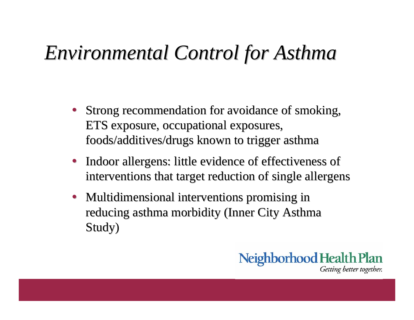#### *Environmental Control for Asthma Environmental Control for Asthma*

- Strong recommendation for avoidance of smoking, ETS exposure, occupational exposures, foods/additives/drugs known to trigger asthma
- Indoor allergens: little evidence of effectiveness of interventions that target reduction of single allergens
- Multidimensional interventions promising in reducing asthma morbidity (Inner City Asthma Study)

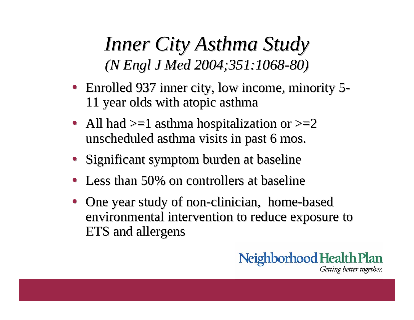*Inner City Asthma Study Inner City Asthma Study (N Engl J Med 2004;351:1068 (N Engl J Med 2004;351:1068 -80)*

- Enrolled 937 inner city, low income, minority 5 - 11 year olds with atopic asthma 11 year olds with atopic asthma
- All had  $>=1$  asthma hospitalization or  $>=2$ unscheduled asthma visits in past 6 mos.
- Significant symptom burden at baseline
- Less than 50% on controllers at baseline
- One year study of non-clinician, home-based environmental intervention to reduce exposure to ETS and allergens

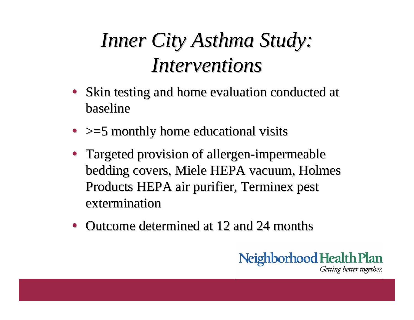### *Inner City Asthma Study: Inner City Asthma Study: Interventions Interventions*

- Skin testing and home evaluation conducted at baseline
- $\bullet$   $>=$  5 monthly home educational visits
- Targeted provision of allergen-impermeable bedding covers, Miele HEPA vacuum, Holmes Products HEPA air purifier, Terminex pest extermination
- Outcome determined at 12 and 24 months

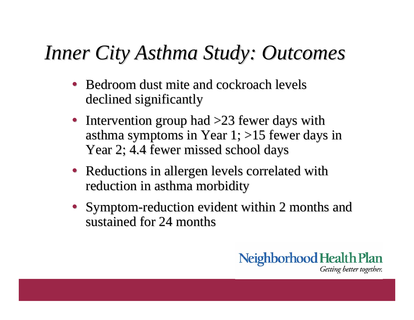#### *Inner City Asthma Study: Outcomes Inner City Asthma Study: Outcomes*

- Bedroom dust mite and cockroach levels declined significantly
- Intervention group had  $>23$  fewer days with asthma symptoms in Year 1; >15 fewer days in Year 2; 4.4 fewer missed school days
- Reductions in allergen levels correlated with reduction in asthma morbidity
- Symptom-reduction evident within 2 months and sustained for 24 months

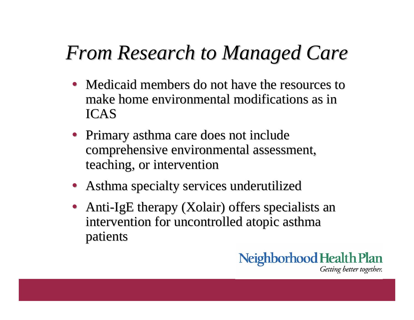### *From Research to Managed Care From Research to Managed Care*

- Medicaid members do not have the resources to make home environmental modifications as in ICAS
- Primary asthma care does not include comprehensive environmental assessment, teaching, or intervention
- Asthma specialty services underutilized
- Anti-IgE therapy (Xolair) offers specialists an intervention for uncontrolled atopic asthma patients

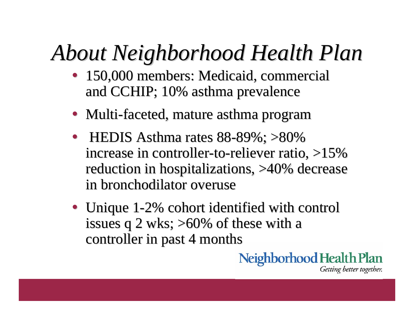## *About Neighborhood Health Plan About Neighborhood Health Plan*

- 150,000 members: Medicaid, commercial and CCHIP; 10% asthma prevalence
- Multi-faceted, mature asthma program
- HEDIS Asthma rates  $88-89\%$ ;  $>80\%$ increase in controller-to-reliever ratio, >15% reduction in hospitalizations, >40% decrease in bronchodilator overuse
- Unique 1-2% cohort identified with control issues q 2 wks;  $>60\%$  of these with a controller in past 4 months

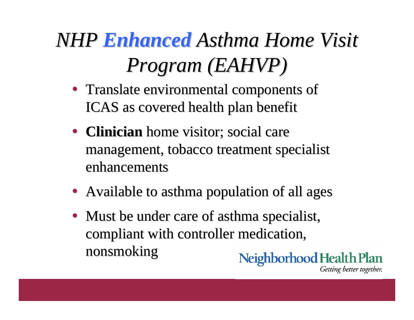## *NHP Enhanced Asthma Home Visit Program (EAHVP) Program (EAHVP)*

- Translate environmental components of ICAS as covered health plan benefit
- **Clinician** home visitor; social care management, tobacco treatment specialist management, tobacco treatment specialist enhancements
- Available to asthma population of all ages
- Must be under care of asthma specialist, compliant with controller medication, nonsmoking nonsmokingNeighborhood Health Plan

Getting better together.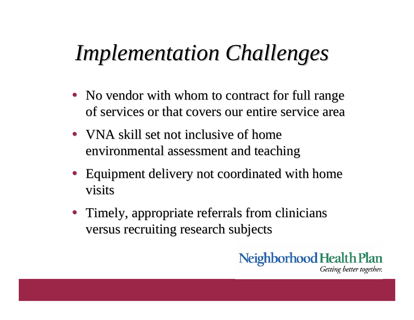## *Implementation Challenges Implementation Challenges*

- No vendor with whom to contract for full range of services or that covers our entire service area
- VNA skill set not inclusive of home environmental assessment and teaching
- Equipment delivery not coordinated with home visits
- Timely, appropriate referrals from clinicians versus recruiting research subjects

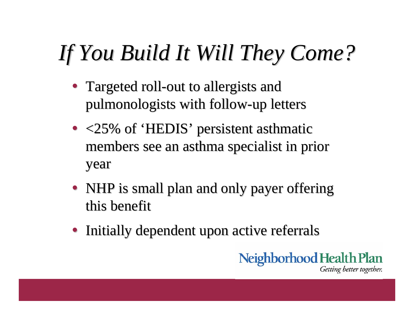# *If You Build It Will They Come? If You Build It Will They Come?*

- Targeted roll-out to allergists and pulmonologists with follow-up letters
- $\bullet$  <25% of 'HEDIS' persistent asthmatic members see an asthma specialist in prior members see an asthma specialist in prior year
- NHP is small plan and only payer offering this benefit
- Initially dependent upon active referrals

Neighborhood Health Plan Getting better together.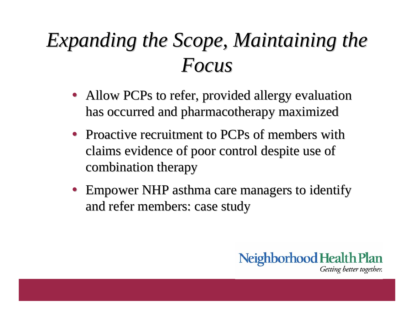### Expanding the Scope, Maintaining the *Focus*

- Allow PCPs to refer, provided allergy evaluation has occurred and pharmacotherapy maximized
- Proactive recruitment to PCPs of members with claims evidence of poor control despite use of claims evidence of poor control despite use of combination therapy
- Empower NHP asthma care managers to identify and refer members: case study